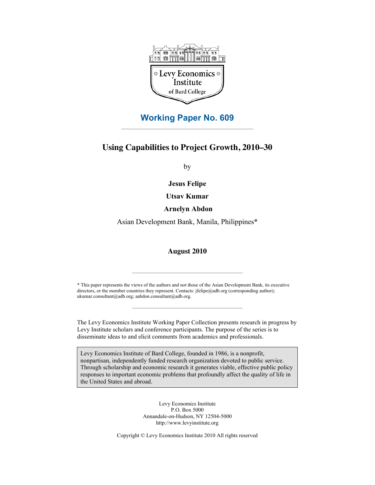

# **Working Paper No. 609**

## **Using Capabilities to Project Growth, 2010–30**

by

**Jesus Felipe**

**Utsav Kumar**

 **Arnelyn Abdon**

Asian Development Bank, Manila, Philippines\*

#### **August 2010**

\* This paper represents the views of the authors and not those of the Asian Development Bank, its executive directors, or the member countries they represent. Contacts: jfelipe@adb.org (corresponding author); ukumar.consultant@adb.org; aabdon.consultant@adb.org.

The Levy Economics Institute Working Paper Collection presents research in progress by Levy Institute scholars and conference participants. The purpose of the series is to disseminate ideas to and elicit comments from academics and professionals.

Levy Economics Institute of Bard College, founded in 1986, is a nonprofit, nonpartisan, independently funded research organization devoted to public service. Through scholarship and economic research it generates viable, effective public policy responses to important economic problems that profoundly affect the quality of life in the United States and abroad.

> Levy Economics Institute P.O. Box 5000 Annandale-on-Hudson, NY 12504-5000 http://www.levyinstitute.org

Copyright © Levy Economics Institute 2010 All rights reserved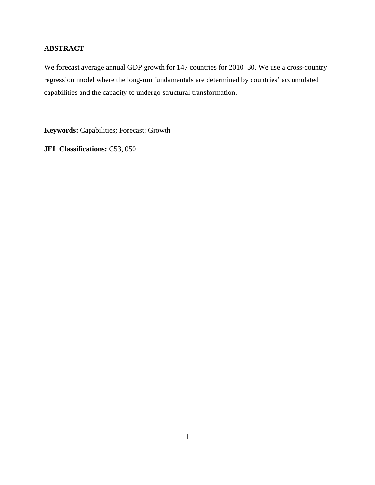## **ABSTRACT**

We forecast average annual GDP growth for 147 countries for 2010–30. We use a cross-country regression model where the long-run fundamentals are determined by countries' accumulated capabilities and the capacity to undergo structural transformation.

**Keywords:** Capabilities; Forecast; Growth

**JEL Classifications:** C53, 050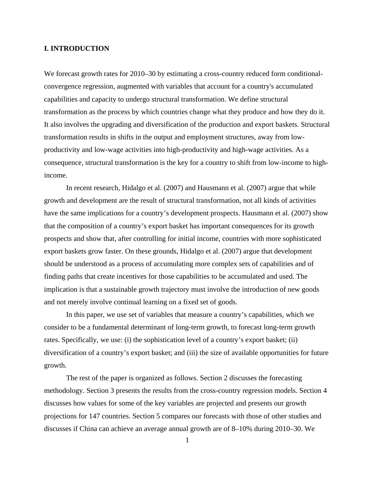#### **I. INTRODUCTION**

We forecast growth rates for 2010–30 by estimating a cross-country reduced form conditionalconvergence regression, augmented with variables that account for a country's accumulated capabilities and capacity to undergo structural transformation. We define structural transformation as the process by which countries change what they produce and how they do it. It also involves the upgrading and diversification of the production and export baskets. Structural transformation results in shifts in the output and employment structures, away from lowproductivity and low-wage activities into high-productivity and high-wage activities. As a consequence, structural transformation is the key for a country to shift from low-income to highincome.

In recent research, Hidalgo et al. (2007) and Hausmann et al. (2007) argue that while growth and development are the result of structural transformation, not all kinds of activities have the same implications for a country's development prospects. Hausmann et al. (2007) show that the composition of a country's export basket has important consequences for its growth prospects and show that, after controlling for initial income, countries with more sophisticated export baskets grow faster. On these grounds, Hidalgo et al. (2007) argue that development should be understood as a process of accumulating more complex sets of capabilities and of finding paths that create incentives for those capabilities to be accumulated and used. The implication is that a sustainable growth trajectory must involve the introduction of new goods and not merely involve continual learning on a fixed set of goods.

In this paper, we use set of variables that measure a country's capabilities, which we consider to be a fundamental determinant of long-term growth, to forecast long-term growth rates. Specifically, we use: (i) the sophistication level of a country's export basket; (ii) diversification of a country's export basket; and (iii) the size of available opportunities for future growth.

 The rest of the paper is organized as follows. Section 2 discusses the forecasting methodology. Section 3 presents the results from the cross-country regression models. Section 4 discusses how values for some of the key variables are projected and presents our growth projections for 147 countries. Section 5 compares our forecasts with those of other studies and discusses if China can achieve an average annual growth are of 8–10% during 2010–30. We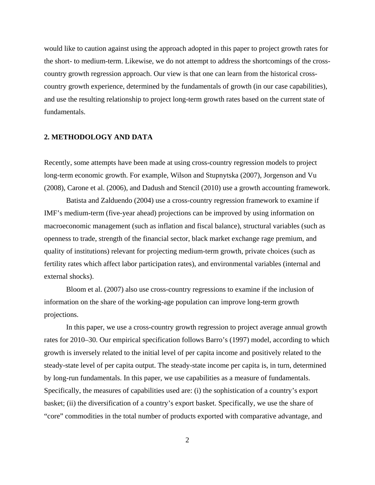would like to caution against using the approach adopted in this paper to project growth rates for the short- to medium-term. Likewise, we do not attempt to address the shortcomings of the crosscountry growth regression approach. Our view is that one can learn from the historical crosscountry growth experience, determined by the fundamentals of growth (in our case capabilities), and use the resulting relationship to project long-term growth rates based on the current state of fundamentals.

#### **2. METHODOLOGY AND DATA**

Recently, some attempts have been made at using cross-country regression models to project long-term economic growth. For example, Wilson and Stupnytska (2007), Jorgenson and Vu (2008), Carone et al. (2006), and Dadush and Stencil (2010) use a growth accounting framework.

Batista and Zalduendo (2004) use a cross-country regression framework to examine if IMF's medium-term (five-year ahead) projections can be improved by using information on macroeconomic management (such as inflation and fiscal balance), structural variables (such as openness to trade, strength of the financial sector, black market exchange rage premium, and quality of institutions) relevant for projecting medium-term growth, private choices (such as fertility rates which affect labor participation rates), and environmental variables (internal and external shocks).

Bloom et al. (2007) also use cross-country regressions to examine if the inclusion of information on the share of the working-age population can improve long-term growth projections.

In this paper, we use a cross-country growth regression to project average annual growth rates for 2010–30. Our empirical specification follows Barro's (1997) model, according to which growth is inversely related to the initial level of per capita income and positively related to the steady-state level of per capita output. The steady-state income per capita is, in turn, determined by long-run fundamentals. In this paper, we use capabilities as a measure of fundamentals. Specifically, the measures of capabilities used are: (i) the sophistication of a country's export basket; (ii) the diversification of a country's export basket. Specifically, we use the share of "core" commodities in the total number of products exported with comparative advantage, and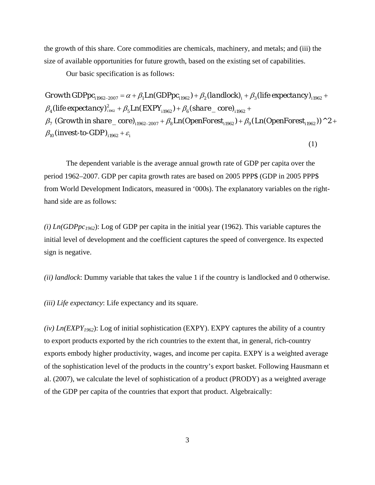the growth of this share. Core commodities are chemicals, machinery, and metals; and (iii) the size of available opportunities for future growth, based on the existing set of capabilities.

Our basic specification is as follows:

life expectancy) $^2_{\scriptscriptstyle \rm 1982}$  +  $\beta_{\scriptscriptstyle 5}$  Ln( EXPY<sub>11962</sub>) +  $\beta_{\scriptscriptstyle 6}$  (share \_ core)  $_{\scriptscriptstyle 1}$ *Growth GDPpc*<sub>11962-2007</sub> =  $\alpha + \beta_1 Ln(GDPpc_{11962}) + \beta_2 (landlock)$ <sub>i</sub> +  $\beta_3 (life$  expectancy)<sub>11962</sub> +  $\beta_7$  (Growth in share \_ core)<sub>11962–2007</sub> +  $\beta_8 Ln(OpenForest_{i1962}) + \beta_9(Ln(OpenForest_{i1962}))$  ^  $2$  +  $\beta_{\scriptscriptstyle 4}(\textit{life }\textit{expectancy})^{\scriptscriptstyle 2}_{\scriptscriptstyle 1962} + \beta_{\scriptscriptstyle 5} Ln(\textit{EXPY}_{\scriptscriptstyle 11962}) + \beta_{\scriptscriptstyle 6}(\textit{share\_core})_{\scriptscriptstyle 11962} +$  $\beta_{\rm 10}$  (invest-to-GDP)  $_{i1962}+\varepsilon_{\rm j}$ 

(1)

The dependent variable is the average annual growth rate of GDP per capita over the period 1962–2007. GDP per capita growth rates are based on 2005 PPP\$ (GDP in 2005 PPP\$ from World Development Indicators, measured in '000s). The explanatory variables on the righthand side are as follows:

*(i) Ln(GDPpc1962*): Log of GDP per capita in the initial year (1962). This variable captures the initial level of development and the coefficient captures the speed of convergence. Its expected sign is negative.

*(ii) landlock*: Dummy variable that takes the value 1 if the country is landlocked and 0 otherwise.

*(iii) Life expectancy*: Life expectancy and its square.

*(iv) Ln(EXPY1962*): Log of initial sophistication (EXPY). EXPY captures the ability of a country to export products exported by the rich countries to the extent that, in general, rich-country exports embody higher productivity, wages, and income per capita. EXPY is a weighted average of the sophistication level of the products in the country's export basket. Following Hausmann et al. (2007), we calculate the level of sophistication of a product (PRODY) as a weighted average of the GDP per capita of the countries that export that product. Algebraically: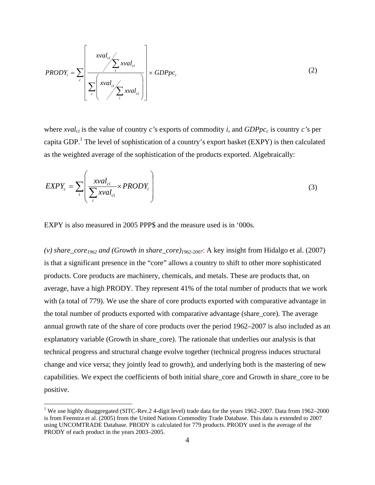$$
PRODY_i = \sum_{c} \left[ \frac{xval_{ci}}{\sum_{c} xval_{ci}} \times GDPpc_c \right]
$$
 (2)

where  $xval_{ci}$  is the value of country *c*'s exports of commodity *i*, and  $GDPpc_c$  is country *c*'s per capita GDP.<sup>1</sup> The level of sophistication of a country's export basket (EXPY) is then calculated as the weighted average of the sophistication of the products exported. Algebraically:

$$
EXPY_c = \sum_{i} \left( \frac{xval_{ci}}{\sum_{i} xval_{ci}} \times PRODY_i \right)
$$
 (3)

EXPY is also measured in 2005 PPP\$ and the measure used is in '000s.

*(v) share\_core1962 and (Growth in share\_core)1962-2007*: A key insight from Hidalgo et al. (2007) is that a significant presence in the "core" allows a country to shift to other more sophisticated products. Core products are machinery, chemicals, and metals. These are products that, on average, have a high PRODY. They represent 41% of the total number of products that we work with (a total of 779). We use the share of core products exported with comparative advantage in the total number of products exported with comparative advantage (share\_core). The average annual growth rate of the share of core products over the period 1962–2007 is also included as an explanatory variable (Growth in share\_core). The rationale that underlies our analysis is that technical progress and structural change evolve together (technical progress induces structural change and vice versa; they jointly lead to growth), and underlying both is the mastering of new capabilities. We expect the coefficients of both initial share\_core and Growth in share\_core to be positive.

<sup>&</sup>lt;sup>1</sup> We use highly disaggregated (SITC-Rev.2 4-digit level) trade data for the years 1962–2007. Data from 1962–2000 is from Feenstra et al. (2005) from the United Nations Commodity Trade Database. This data is extended to 2007 using UNCOMTRADE Database. PRODY is calculated for 779 products. PRODY used is the average of the PRODY of each product in the years 2003–2005.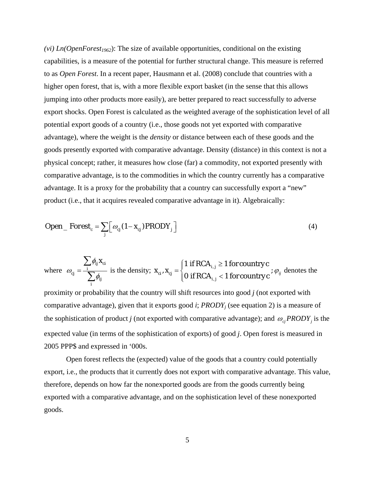$(vi)$  *Ln(OpenForest<sub>1962</sub>*): The size of available opportunities, conditional on the existing capabilities, is a measure of the potential for further structural change. This measure is referred to as *Open Forest*. In a recent paper, Hausmann et al. (2008) conclude that countries with a higher open forest, that is, with a more flexible export basket (in the sense that this allows jumping into other products more easily), are better prepared to react successfully to adverse export shocks. Open Forest is calculated as the weighted average of the sophistication level of all potential export goods of a country (i.e., those goods not yet exported with comparative advantage), where the weight is the *density* or distance between each of these goods and the goods presently exported with comparative advantage. Density (distance) in this context is not a physical concept; rather, it measures how close (far) a commodity, not exported presently with comparative advantage, is to the commodities in which the country currently has a comparative advantage. It is a proxy for the probability that a country can successfully export a "new" product (i.e., that it acquires revealed comparative advantage in it). Algebraically:

$$
Open\_Forest_{c} = \sum_{j} \left[ \omega_{cj} (1 - x_{cj}) PRODY_j \right]
$$
 (4)

where 
$$
\omega_{cj} = \frac{\sum_{i} \phi_{ij} x_{ci}}{\sum_{i} \phi_{ij}}
$$
 is the density;  $x_{ci}, x_{cj} = \begin{cases} 1 & \text{if RCA}_{i,j} \ge 1 \text{ for country } c \\ 0 & \text{if RCA}_{i,j} < 1 \text{ for country } c \end{cases}$ ;  $\varphi_{ij}$  denotes the

proximity or probability that the country will shift resources into good *j* (not exported with comparative advantage), given that it exports good *i*; *PRODYj* (see equation 2) is a measure of the sophistication of product *j* (not exported with comparative advantage); and  $\omega_{cj}PRODY_j$  is the expected value (in terms of the sophistication of exports) of good *j*. Open forest is measured in 2005 PPP\$ and expressed in '000s.

Open forest reflects the (expected) value of the goods that a country could potentially export, i.e., the products that it currently does not export with comparative advantage. This value, therefore, depends on how far the nonexported goods are from the goods currently being exported with a comparative advantage, and on the sophistication level of these nonexported goods.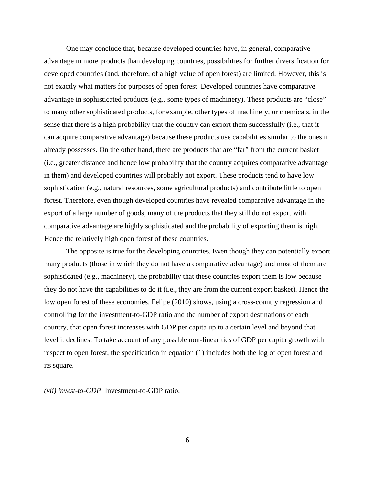One may conclude that, because developed countries have, in general, comparative advantage in more products than developing countries, possibilities for further diversification for developed countries (and, therefore, of a high value of open forest) are limited. However, this is not exactly what matters for purposes of open forest. Developed countries have comparative advantage in sophisticated products (e.g., some types of machinery). These products are "close" to many other sophisticated products, for example, other types of machinery, or chemicals, in the sense that there is a high probability that the country can export them successfully (i.e., that it can acquire comparative advantage) because these products use capabilities similar to the ones it already possesses. On the other hand, there are products that are "far" from the current basket (i.e., greater distance and hence low probability that the country acquires comparative advantage in them) and developed countries will probably not export. These products tend to have low sophistication (e.g., natural resources, some agricultural products) and contribute little to open forest. Therefore, even though developed countries have revealed comparative advantage in the export of a large number of goods, many of the products that they still do not export with comparative advantage are highly sophisticated and the probability of exporting them is high. Hence the relatively high open forest of these countries.

The opposite is true for the developing countries. Even though they can potentially export many products (those in which they do not have a comparative advantage) and most of them are sophisticated (e.g., machinery), the probability that these countries export them is low because they do not have the capabilities to do it (i.e., they are from the current export basket). Hence the low open forest of these economies. Felipe (2010) shows, using a cross-country regression and controlling for the investment-to-GDP ratio and the number of export destinations of each country, that open forest increases with GDP per capita up to a certain level and beyond that level it declines. To take account of any possible non-linearities of GDP per capita growth with respect to open forest, the specification in equation (1) includes both the log of open forest and its square.

*(vii) invest-to-GDP*: Investment-to-GDP ratio.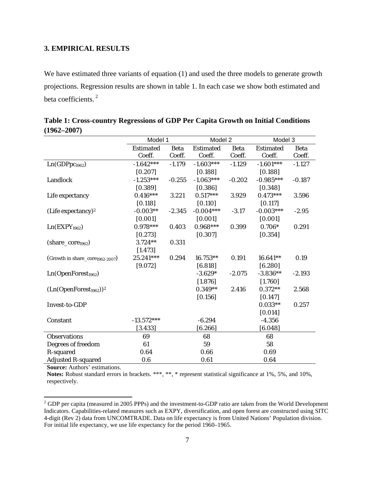### **3. EMPIRICAL RESULTS**

We have estimated three variants of equation (1) and used the three models to generate growth projections. Regression results are shown in table 1. In each case we show both estimated and beta coefficients. 2

|                                 | Model 1                         |          | Model 2          |             | Model 3          |             |
|---------------------------------|---------------------------------|----------|------------------|-------------|------------------|-------------|
|                                 | <b>Estimated</b><br><b>Beta</b> |          | <b>Estimated</b> | <b>Beta</b> | <b>Estimated</b> | <b>Beta</b> |
|                                 | Coeff.                          | Coeff.   | Coeff.           | Coeff.      | Coeff.           | Coeff.      |
| Ln(GDPpc <sub>1962</sub> )      | $-1.642***$                     | $-1.179$ | $-1.603***$      | $-1.129$    | $-1.601***$      | $-1.127$    |
|                                 | [0.207]                         |          | [0.188]          |             | [0.188]          |             |
| Landlock                        | $-1.253***$                     | $-0.255$ | $-1.063***$      | $-0.202$    | $-0.985***$      | $-0.187$    |
|                                 | [0.389]                         |          | [0.386]          |             | [0.348]          |             |
| Life expectancy                 | $0.416***$                      | 3.221    | $0.517***$       | 3.929       | $0.473***$       | 3.596       |
|                                 | [0.118]                         |          | [0.110]          |             | [0.117]          |             |
| (Life expectancy) <sup>2</sup>  | $-0.003**$                      | $-2.345$ | $-0.004***$      | $-3.17$     | $-0.003***$      | $-2.95$     |
|                                 | [0.001]                         |          | [0.001]          |             | [0.001]          |             |
| Ln(EXPY <sub>1962</sub> )       | $0.978***$                      | 0.403    | $0.968***$       | 0.399       | $0.706*$         | 0.291       |
|                                 | [0.273]                         |          | [0.307]          |             | [0.354]          |             |
| $(share\_core_{1962})$          | $3.724**$                       | 0.331    |                  |             |                  |             |
|                                 | [1.473]                         |          |                  |             |                  |             |
| (Growth in share_core1962-2007) | 25.241***                       | 0.294    | 16.753**         | 0.191       | $16.641**$       | 0.19        |
|                                 | [9.072]                         |          | [6.818]          |             | [6.280]          |             |
| Ln(OpenForest <sub>1962</sub> ) |                                 |          | $-3.629*$        | $-2.075$    | $-3.836**$       | $-2.193$    |
|                                 |                                 |          | [1.876]          |             | [1.760]          |             |
| $(Ln(OpenForest1962))2$         |                                 |          | $0.349**$        | 2.416       | $0.372**$        | 2.568       |
|                                 |                                 |          | [0.156]          |             | [0.147]          |             |
| Invest-to-GDP                   |                                 |          |                  |             | $0.033**$        | 0.257       |
|                                 |                                 |          |                  |             | [0.014]          |             |
| Constant                        | $-13.572***$                    |          | $-6.294$         |             | $-4.356$         |             |
|                                 | [3.433]                         |          | [6.266]          |             | [6.048]          |             |
| <b>Observations</b>             | 69                              |          | 68               |             | 68               |             |
| Degrees of freedom              | 61                              |          | 59               |             | 58               |             |
| R-squared                       | 0.64                            |          | 0.66             |             | 0.69             |             |
| <b>Adjusted R-squared</b>       | 0.6                             |          | 0.61             |             | 0.64             |             |

**Table 1: Cross-country Regressions of GDP Per Capita Growth on Initial Conditions (1962–2007)**

**Source:** Authors' estimations.

**Notes:** Robust standard errors in brackets. \*\*\*, \*\*, \* represent statistical significance at 1%, 5%, and 10%, respectively.

<sup>&</sup>lt;sup>2</sup> GDP per capita (measured in 2005 PPPs) and the investment-to-GDP ratio are taken from the World Development Indicators. Capabilities-related measures such as EXPY, diversification, and open forest are constructed using SITC 4-digit (Rev 2) data from UNCOMTRADE. Data on life expectancy is from United Nations' Population division. For initial life expectancy, we use life expectancy for the period 1960–1965.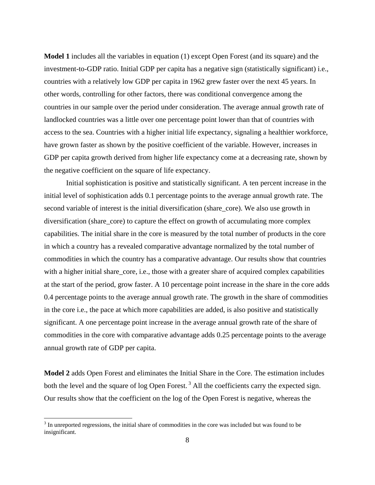**Model 1** includes all the variables in equation (1) except Open Forest (and its square) and the investment-to-GDP ratio. Initial GDP per capita has a negative sign (statistically significant) i.e., countries with a relatively low GDP per capita in 1962 grew faster over the next 45 years. In other words, controlling for other factors, there was conditional convergence among the countries in our sample over the period under consideration. The average annual growth rate of landlocked countries was a little over one percentage point lower than that of countries with access to the sea. Countries with a higher initial life expectancy, signaling a healthier workforce, have grown faster as shown by the positive coefficient of the variable. However, increases in GDP per capita growth derived from higher life expectancy come at a decreasing rate, shown by the negative coefficient on the square of life expectancy.

 Initial sophistication is positive and statistically significant. A ten percent increase in the initial level of sophistication adds 0.1 percentage points to the average annual growth rate. The second variable of interest is the initial diversification (share\_core). We also use growth in diversification (share\_core) to capture the effect on growth of accumulating more complex capabilities. The initial share in the core is measured by the total number of products in the core in which a country has a revealed comparative advantage normalized by the total number of commodities in which the country has a comparative advantage. Our results show that countries with a higher initial share\_core, i.e., those with a greater share of acquired complex capabilities at the start of the period, grow faster. A 10 percentage point increase in the share in the core adds 0.4 percentage points to the average annual growth rate. The growth in the share of commodities in the core i.e., the pace at which more capabilities are added, is also positive and statistically significant. A one percentage point increase in the average annual growth rate of the share of commodities in the core with comparative advantage adds 0.25 percentage points to the average annual growth rate of GDP per capita.

**Model 2** adds Open Forest and eliminates the Initial Share in the Core. The estimation includes both the level and the square of log Open Forest.<sup>3</sup> All the coefficients carry the expected sign. Our results show that the coefficient on the log of the Open Forest is negative, whereas the

 $3$  In unreported regressions, the initial share of commodities in the core was included but was found to be insignificant.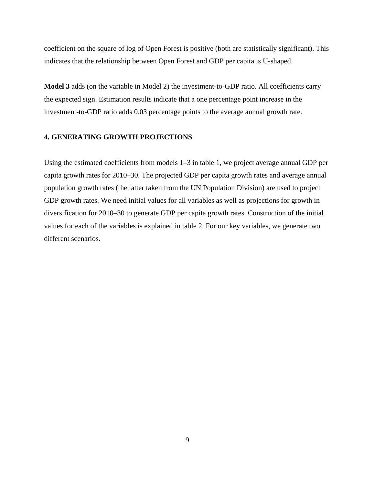coefficient on the square of log of Open Forest is positive (both are statistically significant). This indicates that the relationship between Open Forest and GDP per capita is U-shaped.

**Model 3** adds (on the variable in Model 2) the investment-to-GDP ratio. All coefficients carry the expected sign. Estimation results indicate that a one percentage point increase in the investment-to-GDP ratio adds 0.03 percentage points to the average annual growth rate.

#### **4. GENERATING GROWTH PROJECTIONS**

Using the estimated coefficients from models 1–3 in table 1, we project average annual GDP per capita growth rates for 2010–30. The projected GDP per capita growth rates and average annual population growth rates (the latter taken from the UN Population Division) are used to project GDP growth rates. We need initial values for all variables as well as projections for growth in diversification for 2010–30 to generate GDP per capita growth rates. Construction of the initial values for each of the variables is explained in table 2. For our key variables, we generate two different scenarios.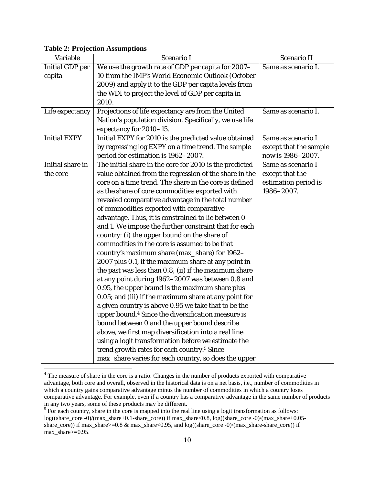|  |  | <b>Table 2: Projection Assumptions</b> |
|--|--|----------------------------------------|
|--|--|----------------------------------------|

| Variable               | Scenario I                                                     | Scenario II            |
|------------------------|----------------------------------------------------------------|------------------------|
| <b>Initial GDP</b> per | We use the growth rate of GDP per capita for 2007-             | Same as scenario I.    |
| capita                 | 10 from the IMF's World Economic Outlook (October              |                        |
|                        | 2009) and apply it to the GDP per capita levels from           |                        |
|                        | the WDI to project the level of GDP per capita in              |                        |
|                        | 2010.                                                          |                        |
| Life expectancy        | Projections of life expectancy are from the United             | Same as scenario I.    |
|                        | Nation's population division. Specifically, we use life        |                        |
|                        | expectancy for 2010-15.                                        |                        |
| <b>Initial EXPY</b>    | Initial EXPY for 2010 is the predicted value obtained          | Same as scenario I     |
|                        | by regressing log EXPY on a time trend. The sample             | except that the sample |
|                        | period for estimation is 1962-2007.                            | now is 1986-2007.      |
| Initial share in       | The initial share in the core for 2010 is the predicted        | Same as scenario I     |
| the core               | value obtained from the regression of the share in the         | except that the        |
|                        | core on a time trend. The share in the core is defined         | estimation period is   |
|                        | as the share of core commodities exported with                 | 1986-2007.             |
|                        | revealed comparative advantage in the total number             |                        |
|                        | of commodities exported with comparative                       |                        |
|                        | advantage. Thus, it is constrained to lie between 0            |                        |
|                        | and 1. We impose the further constraint that for each          |                        |
|                        | country: (i) the upper bound on the share of                   |                        |
|                        | commodities in the core is assumed to be that                  |                        |
|                        | country's maximum share (max_share) for 1962-                  |                        |
|                        | 2007 plus 0.1, if the maximum share at any point in            |                        |
|                        | the past was less than 0.8; (ii) if the maximum share          |                        |
|                        | at any point during 1962-2007 was between 0.8 and              |                        |
|                        | 0.95, the upper bound is the maximum share plus                |                        |
|                        | 0.05; and (iii) if the maximum share at any point for          |                        |
|                        | a given country is above 0.95 we take that to be the           |                        |
|                        | upper bound. <sup>4</sup> Since the diversification measure is |                        |
|                        | bound between 0 and the upper bound describe                   |                        |
|                        | above, we first map diversification into a real line           |                        |
|                        | using a logit transformation before we estimate the            |                        |
|                        | trend growth rates for each country. <sup>5</sup> Since        |                        |
|                        | max_share varies for each country, so does the upper           |                        |

<sup>&</sup>lt;sup>4</sup> The measure of share in the core is a ratio. Changes in the number of products exported with comparative advantage, both core and overall, observed in the historical data is on a net basis, i.e., number of commodities in which a country gains comparative advantage minus the number of commodities in which a country loses comparative advantage. For example, even if a country has a comparative advantage in the same number of products in any two years, some of these products may be different.<br><sup>5</sup> For each country, share in the core is mapped into the real line using a logit transformation as follows:

log((share\_core -0)/(max\_share+0.1-share\_core)) if max\_share<0.8, log((share\_core -0)/(max\_share+0.05 share core)) if max\_share>=0.8 & max\_share<0.95, and log((share\_core -0)/(max\_share-share\_core)) if max\_share>=0.95.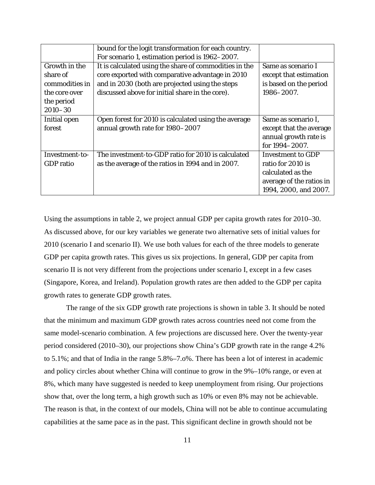|                  | bound for the logit transformation for each country.   |                          |
|------------------|--------------------------------------------------------|--------------------------|
|                  | For scenario 1, estimation period is 1962-2007.        |                          |
| Growth in the    | It is calculated using the share of commodities in the | Same as scenario I       |
| share of         | core exported with comparative advantage in 2010       | except that estimation   |
| commodities in   | and in 2030 (both are projected using the steps        | is based on the period   |
| the core over    | discussed above for initial share in the core).        | 1986-2007.               |
| the period       |                                                        |                          |
| $2010 - 30$      |                                                        |                          |
| Initial open     | Open forest for 2010 is calculated using the average   | Same as scenario I,      |
| forest           | annual growth rate for 1980-2007                       | except that the average  |
|                  |                                                        | annual growth rate is    |
|                  |                                                        | for 1994-2007.           |
| Investment-to-   | The investment-to-GDP ratio for 2010 is calculated     | <b>Investment to GDP</b> |
| <b>GDP</b> ratio | as the average of the ratios in 1994 and in 2007.      | ratio for 2010 is        |
|                  |                                                        | calculated as the        |
|                  |                                                        | average of the ratios in |
|                  |                                                        | 1994, 2000, and 2007.    |

Using the assumptions in table 2, we project annual GDP per capita growth rates for 2010–30. As discussed above, for our key variables we generate two alternative sets of initial values for 2010 (scenario I and scenario II). We use both values for each of the three models to generate GDP per capita growth rates. This gives us six projections. In general, GDP per capita from scenario II is not very different from the projections under scenario I, except in a few cases (Singapore, Korea, and Ireland). Population growth rates are then added to the GDP per capita growth rates to generate GDP growth rates.

The range of the six GDP growth rate projections is shown in table 3. It should be noted that the minimum and maximum GDP growth rates across countries need not come from the same model-scenario combination. A few projections are discussed here. Over the twenty-year period considered (2010–30), our projections show China's GDP growth rate in the range 4.2% to 5.1%; and that of India in the range 5.8%–7.o%. There has been a lot of interest in academic and policy circles about whether China will continue to grow in the 9%–10% range, or even at 8%, which many have suggested is needed to keep unemployment from rising. Our projections show that, over the long term, a high growth such as 10% or even 8% may not be achievable. The reason is that, in the context of our models, China will not be able to continue accumulating capabilities at the same pace as in the past. This significant decline in growth should not be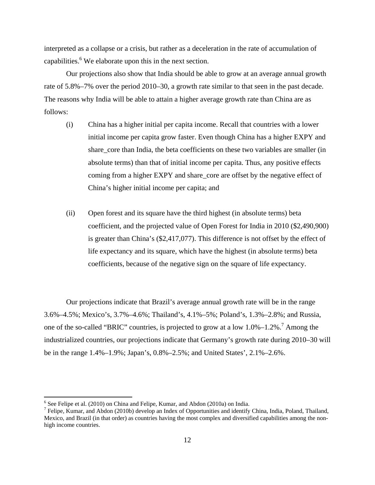interpreted as a collapse or a crisis, but rather as a deceleration in the rate of accumulation of capabilities. $6$  We elaborate upon this in the next section.

Our projections also show that India should be able to grow at an average annual growth rate of 5.8%–7% over the period 2010–30, a growth rate similar to that seen in the past decade. The reasons why India will be able to attain a higher average growth rate than China are as follows:

- (i) China has a higher initial per capita income. Recall that countries with a lower initial income per capita grow faster. Even though China has a higher EXPY and share\_core than India, the beta coefficients on these two variables are smaller (in absolute terms) than that of initial income per capita. Thus, any positive effects coming from a higher EXPY and share\_core are offset by the negative effect of China's higher initial income per capita; and
- (ii) Open forest and its square have the third highest (in absolute terms) beta coefficient, and the projected value of Open Forest for India in 2010 (\$2,490,900) is greater than China's (\$2,417,077). This difference is not offset by the effect of life expectancy and its square, which have the highest (in absolute terms) beta coefficients, because of the negative sign on the square of life expectancy.

Our projections indicate that Brazil's average annual growth rate will be in the range 3.6%–4.5%; Mexico's, 3.7%–4.6%; Thailand's, 4.1%–5%; Poland's, 1.3%–2.8%; and Russia, one of the so-called "BRIC" countries, is projected to grow at a low  $1.0\%$ – $1.2\%$ <sup>7</sup> Among the industrialized countries, our projections indicate that Germany's growth rate during 2010–30 will be in the range 1.4%–1.9%; Japan's, 0.8%–2.5%; and United States', 2.1%–2.6%.

<sup>&</sup>lt;sup>6</sup> See Felipe et al. (2010) on China and Felipe, Kumar, and Abdon (2010a) on India.

 $^7$  Felipe, Kumar, and Abdon (2010b) develop an Index of Opportunities and identify China, India, Poland, Thailand, Mexico, and Brazil (in that order) as countries having the most complex and diversified capabilities among the nonhigh income countries.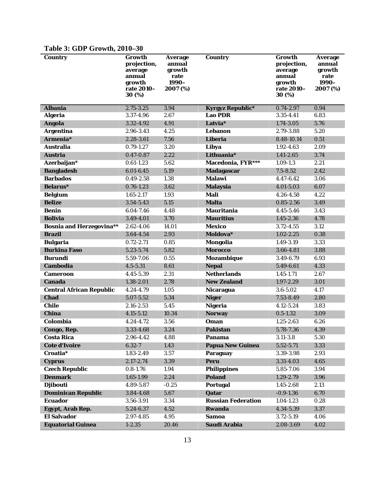| <b>Country</b>                  | Growth<br>projection,<br>average<br>annual<br>growth<br>rate 2010-<br>30(%) | <b>Average</b><br>annual<br>growth<br>rate<br>1990-<br>2007 (%) | <b>Country</b>            | Growth<br>projection,<br>average<br>annual<br>growth<br>rate 2010-<br>30(%) | <b>Average</b><br>annual<br>growth<br>rate<br>1990-<br>2007 (%) |
|---------------------------------|-----------------------------------------------------------------------------|-----------------------------------------------------------------|---------------------------|-----------------------------------------------------------------------------|-----------------------------------------------------------------|
| <b>Albania</b>                  | 2.75-3.25                                                                   | 3.94                                                            | <b>Kyrgyz Republic*</b>   | $0.74 - 2.97$                                                               | 0.94                                                            |
| <b>Algeria</b>                  | 3.37-4.96                                                                   | 2.67                                                            | <b>Lao PDR</b>            | 3.35-4.41                                                                   | 6.83                                                            |
| <b>Angola</b>                   | 3.32-4.92                                                                   | 4.91                                                            | Latvia*                   | 1.74-3.05                                                                   | 5.76                                                            |
| <b>Argentina</b>                | 2.96-3.43                                                                   | 4.25                                                            | Lebanon                   | 2.79-3.88                                                                   | 5.20                                                            |
| Armenia*                        | 2.28-3.61                                                                   | 7.56                                                            | Liberia                   | 8.48-10.14                                                                  | 0.51                                                            |
| <b>Australia</b>                | $0.79 - 1.27$                                                               | 3.20                                                            | Libya                     | 1.92-4.63                                                                   | 2.09                                                            |
| <b>Austria</b>                  | $0.47 - 0.87$                                                               | 2.22                                                            | Lithuania*                | $1.41 - 2.65$                                                               | 3.74                                                            |
| Azerbaijan*                     | $0.61 - 1.23$                                                               | 5.62                                                            | Macedonia, FYR***         | $1.09 - 1.3$                                                                | 2.21                                                            |
| <b>Bangladesh</b>               | $6.01 - 6.45$                                                               | 5.19                                                            | <b>Madagascar</b>         | $7.5 - 8.52$                                                                | 2.42                                                            |
| <b>Barbados</b>                 | $0.49 - 2.58$                                                               | 1.38                                                            | <b>Malawi</b>             | $4.47 - 6.42$                                                               | 3.06                                                            |
| <b>Belarus</b> *                | $0.76 - 1.23$                                                               | 3.62                                                            | <b>Malaysia</b>           | 4.01-5.03                                                                   | 6.07                                                            |
| <b>Belgium</b>                  | $1.65 - 2.17$                                                               | 1.93                                                            | Mali                      | 4.26-4.58                                                                   | 4.22                                                            |
| <b>Belize</b>                   | 3.54-5.43                                                                   | 5.15                                                            | <b>Malta</b>              | $0.85 - 2.56$                                                               | 3.49                                                            |
| <b>Benin</b>                    | 6.04-7.46                                                                   | 4.48                                                            | <b>Mauritania</b>         | 4.45-5.46                                                                   | 3.43                                                            |
| <b>Bolivia</b>                  | 3.49-4.01                                                                   | 3.70                                                            | <b>Mauritius</b>          | $1.45 - 2.36$                                                               | 4.78                                                            |
| <b>Bosnia and Herzegovina**</b> | 2.62-4.06                                                                   | 14.01                                                           | <b>Mexico</b>             | $3.72 - 4.55$                                                               | 3.12                                                            |
| <b>Brazil</b>                   | 3.64-4.54                                                                   | 2.93                                                            | Moldova*                  | $1.02 - 2.25$                                                               | 0.38                                                            |
| <b>Bulgaria</b>                 | $0.72 - 2.71$                                                               | 0.85                                                            | Mongolia                  | 1.49-3.19                                                                   | 3.33                                                            |
| <b>Burkina Faso</b>             | 5.23-5.74                                                                   | 5.82                                                            | <b>Morocco</b>            | 3.66-4.81                                                                   | 3.88                                                            |
| <b>Burundi</b>                  | 5.59-7.06                                                                   | 0.55                                                            | <b>Mozambique</b>         | 3.49-6.79                                                                   | 6.93                                                            |
| <b>Cambodia</b>                 | $4.5 - 5.31$                                                                | 8.61                                                            | <b>Nepal</b>              | 5.49-6.61                                                                   | 4.33                                                            |
| <b>Cameroon</b>                 | 4.45-5.39                                                                   | 2.31                                                            | <b>Netherlands</b>        | $1.45 - 1.71$                                                               | 2.67                                                            |
| <b>Canada</b>                   | 1.38-2.01                                                                   | 2.78                                                            | <b>New Zealand</b>        | 1.97-2.29                                                                   | 3.01                                                            |
| <b>Central African Republic</b> | 4.24-4.79                                                                   | 1.05                                                            | <b>Nicaragua</b>          | $3.6 - 5.02$                                                                | 4.17                                                            |
| <b>Chad</b>                     | 5.07-5.52                                                                   | 5.34                                                            | <b>Niger</b>              | 7.53-8.49                                                                   | 2.80                                                            |
| <b>Chile</b>                    | 2.16-2.53                                                                   | 5.45                                                            | <b>Nigeria</b>            | 4.12-5.24                                                                   | 3.83                                                            |
| <b>China</b>                    | $4.15 - 5.12$                                                               | 10.34                                                           | <b>Norway</b>             | $0.5 - 1.32$                                                                | 3.09                                                            |
| Colombia                        | 4.24-4.72                                                                   | 3.56                                                            | Oman                      | $1.25 - 2.63$                                                               | 6.26                                                            |
| Congo, Rep.                     | 3.33-4.68                                                                   | 3.24                                                            | <b>Pakistan</b>           | 5.78-7.36                                                                   | 4.39                                                            |
| <b>Costa Rica</b>               | 2.96-4.42                                                                   | 4.88                                                            | Panama                    | $3.11 - 3.8$                                                                | 5.30                                                            |
| <b>Cote d'Ivoire</b>            | $6.32 - 7$                                                                  | 1.43                                                            | <b>Papua New Guinea</b>   | 5.52-5.71                                                                   | 3.33                                                            |
| Croatia <sup>*</sup>            | 1.83-2.49                                                                   | 3.57                                                            | <b>Paraguay</b>           | 3.39-3.98                                                                   | 2.93                                                            |
| <b>Cyprus</b>                   | $2.17 - 2.74$                                                               | 3.39                                                            | Peru                      | 3.31-4.03                                                                   | 4.65                                                            |
| <b>Czech Republic</b>           | $0.8 - 1.76$                                                                | 1.94                                                            | <b>Philippines</b>        | 5.85-7.06                                                                   | 3.94                                                            |
| <b>Denmark</b>                  | $1.65 - 1.99$                                                               | 2.24                                                            | <b>Poland</b>             | 1.29-2.79                                                                   | 3.96                                                            |
| <b>Djibouti</b>                 | 4.89-5.87                                                                   | $-0.25$                                                         | Portugal                  | $1.45 - 2.68$                                                               | 2.13                                                            |
| <b>Dominican Republic</b>       | 3.84-4.68                                                                   | 5.67                                                            | Qatar                     | $-0.9 - 1.36$                                                               | 6.70                                                            |
| <b>Ecuador</b>                  | 3.56-3.91                                                                   | 3.34                                                            | <b>Russian Federation</b> | $1.04 - 1.23$                                                               | 0.28                                                            |
| <b>Egypt, Arab Rep.</b>         | 5.24-6.37                                                                   | 4.52                                                            | Rwanda                    | 4.34-5.39                                                                   | 3.37                                                            |
| <b>El Salvador</b>              | 2.97-4.85                                                                   | 4.95                                                            | <b>Samoa</b>              | 3.72-5.19                                                                   | 4.06                                                            |
| <b>Equatorial Guinea</b>        | $1 - 2.35$                                                                  | 20.46                                                           | Saudi Arabia              | 2.08-3.69                                                                   | 4.02                                                            |

## **Table 3: GDP Growth, 2010–30**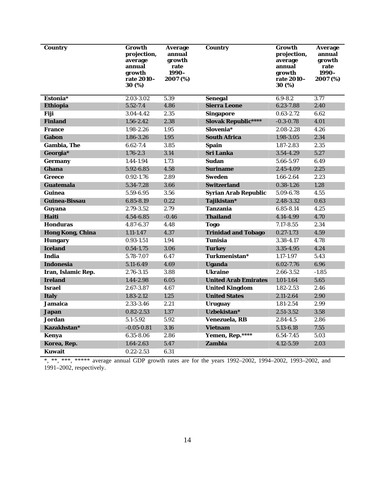| <b>Country</b>          | Growth<br>projection,<br>average<br>annual<br>growth<br>rate 2010–<br>30 (%) | Average<br>annual<br>growth<br>rate<br>1990-<br>2007 (%) | <b>Country</b>              | Growth<br>projection,<br>average<br>annual<br>growth<br>rate 2010-<br>30 (%) | <b>Average</b><br>annual<br>growth<br>rate<br>1990-<br>2007 (%) |
|-------------------------|------------------------------------------------------------------------------|----------------------------------------------------------|-----------------------------|------------------------------------------------------------------------------|-----------------------------------------------------------------|
| Estonia*                | 2.03-3.02                                                                    | 5.39                                                     | <b>Senegal</b>              | $6.9 - 8.2$                                                                  | 3.77                                                            |
| Ethiopia                | $5.52 - 7.4$                                                                 | 4.86                                                     | <b>Sierra Leone</b>         | 6.23-7.88                                                                    | 2.40                                                            |
| Fiji                    | 3.04-4.42                                                                    | 2.35                                                     | <b>Singapore</b>            | $0.63 - 2.72$                                                                | 6.62                                                            |
| <b>Finland</b>          | $1.56 - 2.42$                                                                | 2.38                                                     | <b>Slovak Republic****</b>  | $-0.3 - 0.78$                                                                | 4.01                                                            |
| <b>France</b>           | 1.98-2.26                                                                    | 1.95                                                     | Slovenia*                   | 2.08-2.28                                                                    | 4.26                                                            |
| Gabon                   | 1.86-3.26                                                                    | 1.95                                                     | <b>South Africa</b>         | 1.98-3.05                                                                    | 2.34                                                            |
| <b>Gambia, The</b>      | $6.62 - 7.4$                                                                 | 3.85                                                     | <b>Spain</b>                | 1.87-2.83                                                                    | 2.35                                                            |
| Georgia*                | $1.76 - 2.3$                                                                 | 3.14                                                     | <b>Sri Lanka</b>            | 3.54-4.29                                                                    | 5.27                                                            |
| <b>Germany</b>          | 1.44-1.94                                                                    | 1.73                                                     | <b>Sudan</b>                | 5.66-5.97                                                                    | 6.49                                                            |
| Ghana                   | 5.92-6.85                                                                    | 4.58                                                     | <b>Suriname</b>             | 2.45-4.09                                                                    | 2.25                                                            |
| <b>Greece</b>           | $0.92 - 1.76$                                                                | 2.89                                                     | <b>Sweden</b>               | $1.66 - 2.64$                                                                | 2.23                                                            |
| <b>Guatemala</b>        | 5.34-7.28                                                                    | 3.66                                                     | <b>Switzerland</b>          | $0.38 - 1.26$                                                                | 1.28                                                            |
| Guinea                  | 5.59-6.95                                                                    | 3.56                                                     | <b>Syrian Arab Republic</b> | 5.09-6.78                                                                    | 4.55                                                            |
| Guinea-Bissau           | 6.85-8.19                                                                    | 0.22                                                     | Tajikistan*                 | 2.48-3.32                                                                    | 0.63                                                            |
| Guyana                  | 2.79-3.52                                                                    | 2.79                                                     | <b>Tanzania</b>             | 6.85-8.14                                                                    | 4.25                                                            |
| <b>Haiti</b>            | 4.54-6.85                                                                    | $-0.46$                                                  | <b>Thailand</b>             | 4.14-4.99                                                                    | 4.70                                                            |
| <b>Honduras</b>         | 4.87-6.37                                                                    | 4.48                                                     | <b>Togo</b>                 | $7.17 - 8.55$                                                                | 2.34                                                            |
| <b>Hong Kong, China</b> | $1.11 - 1.47$                                                                | 4.37                                                     | <b>Trinidad and Tobago</b>  | $0.27 - 1.73$                                                                | 4.59                                                            |
| <b>Hungary</b>          | $0.93 - 1.51$                                                                | 1.94                                                     | <b>Tunisia</b>              | 3.38-4.17                                                                    | 4.78                                                            |
| <b>Iceland</b>          | $0.54 - 1.75$                                                                | 3.06                                                     | Turkey                      | 3.35-4.95                                                                    | 4.24                                                            |
| <b>India</b>            | 5.78-7.07                                                                    | 6.47                                                     | Turkmenistan*               | 1.17-1.97                                                                    | 5.43                                                            |
| Indonesia               | 5.11-6.49                                                                    | 4.69                                                     | <b>Uganda</b>               | 6.02-7.76                                                                    | 6.96                                                            |
| Iran, Islamic Rep.      | 2.76-3.15                                                                    | 3.88                                                     | <b>Ukraine</b>              | 2.66-3.52                                                                    | $-1.85$                                                         |
| <b>Ireland</b>          | 1.44-2.98                                                                    | 6.05                                                     | <b>United Arab Emirates</b> | $1.01 - 1.64$                                                                | 5.65                                                            |
| <b>Israel</b>           | 2.67-3.87                                                                    | 4.67                                                     | <b>United Kingdom</b>       | $1.82 - 2.53$                                                                | 2.46                                                            |
| <b>Italy</b>            | $1.83 - 2.12$                                                                | 1.25                                                     | <b>United States</b>        | $2.11 - 2.64$                                                                | 2.90                                                            |
| <b>Jamaica</b>          | 2.33-3.46                                                                    | 2.21                                                     | Uruguay                     | $1.81 - 2.54$                                                                | 2.99                                                            |
| <b>Japan</b>            | $0.82 - 2.53$                                                                | 1.37                                                     | Uzbekistan*                 | 2.51-3.52                                                                    | 3.58                                                            |
| <b>Jordan</b>           | 5.1-5.92                                                                     | 5.92                                                     | Venezuela. RB               | $2.84 - 4.5$                                                                 | 2.86                                                            |
| Kazakhstan*             | $-0.05 - 0.81$                                                               | 3.16                                                     | <b>Vietnam</b>              | 5.13-6.18                                                                    | 7.55                                                            |
| Kenya                   | 6.35-8.06                                                                    | 2.86                                                     | Yemen, Rep.****             | 6.54-7.45                                                                    | 5.03                                                            |
| Korea, Rep.             | 1.64-2.63                                                                    | 5.47                                                     | Zambia                      | $4.12 - 5.59$                                                                | 2.03                                                            |
| <b>Kuwait</b>           | $0.22 - 2.53$                                                                | 6.31                                                     |                             |                                                                              |                                                                 |

\*, \*\*, \*\*\*, \*\*\*\*\* average annual GDP growth rates are for the years 1992–2002, 1994–2002, 1993–2002, and 1991–2002, respectively.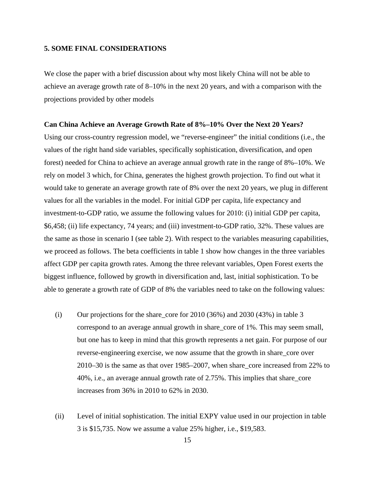#### **5. SOME FINAL CONSIDERATIONS**

We close the paper with a brief discussion about why most likely China will not be able to achieve an average growth rate of 8–10% in the next 20 years, and with a comparison with the projections provided by other models

#### **Can China Achieve an Average Growth Rate of 8%–10% Over the Next 20 Years?**

Using our cross-country regression model, we "reverse-engineer" the initial conditions (i.e., the values of the right hand side variables, specifically sophistication, diversification, and open forest) needed for China to achieve an average annual growth rate in the range of 8%–10%. We rely on model 3 which, for China, generates the highest growth projection. To find out what it would take to generate an average growth rate of 8% over the next 20 years, we plug in different values for all the variables in the model. For initial GDP per capita, life expectancy and investment-to-GDP ratio, we assume the following values for 2010: (i) initial GDP per capita, \$6,458; (ii) life expectancy, 74 years; and (iii) investment-to-GDP ratio, 32%. These values are the same as those in scenario I (see table 2). With respect to the variables measuring capabilities, we proceed as follows. The beta coefficients in table 1 show how changes in the three variables affect GDP per capita growth rates. Among the three relevant variables, Open Forest exerts the biggest influence, followed by growth in diversification and, last, initial sophistication. To be able to generate a growth rate of GDP of 8% the variables need to take on the following values:

- (i) Our projections for the share\_core for 2010 (36%) and 2030 (43%) in table 3 correspond to an average annual growth in share\_core of 1%. This may seem small, but one has to keep in mind that this growth represents a net gain. For purpose of our reverse-engineering exercise, we now assume that the growth in share\_core over 2010–30 is the same as that over 1985–2007, when share\_core increased from 22% to 40%, i.e., an average annual growth rate of 2.75%. This implies that share\_core increases from 36% in 2010 to 62% in 2030.
- (ii) Level of initial sophistication. The initial EXPY value used in our projection in table 3 is \$15,735. Now we assume a value 25% higher, i.e., \$19,583.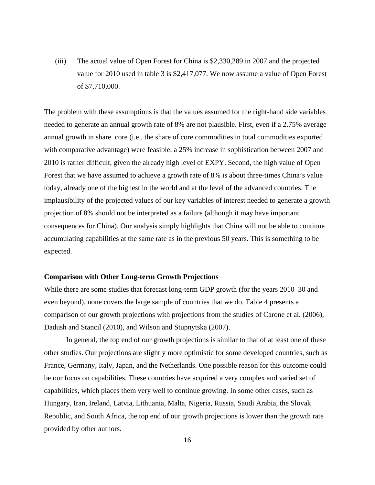(iii) The actual value of Open Forest for China is \$2,330,289 in 2007 and the projected value for 2010 used in table 3 is \$2,417,077. We now assume a value of Open Forest of \$7,710,000.

The problem with these assumptions is that the values assumed for the right-hand side variables needed to generate an annual growth rate of 8% are not plausible. First, even if a 2.75% average annual growth in share\_core (i.e., the share of core commodities in total commodities exported with comparative advantage) were feasible, a 25% increase in sophistication between 2007 and 2010 is rather difficult, given the already high level of EXPY. Second, the high value of Open Forest that we have assumed to achieve a growth rate of 8% is about three-times China's value today, already one of the highest in the world and at the level of the advanced countries. The implausibility of the projected values of our key variables of interest needed to generate a growth projection of 8% should not be interpreted as a failure (although it may have important consequences for China). Our analysis simply highlights that China will not be able to continue accumulating capabilities at the same rate as in the previous 50 years. This is something to be expected.

#### **Comparison with Other Long-term Growth Projections**

While there are some studies that forecast long-term GDP growth (for the years 2010–30 and even beyond), none covers the large sample of countries that we do. Table 4 presents a comparison of our growth projections with projections from the studies of Carone et al. (2006), Dadush and Stancil (2010), and Wilson and Stupnytska (2007).

 In general, the top end of our growth projections is similar to that of at least one of these other studies. Our projections are slightly more optimistic for some developed countries, such as France, Germany, Italy, Japan, and the Netherlands. One possible reason for this outcome could be our focus on capabilities. These countries have acquired a very complex and varied set of capabilities, which places them very well to continue growing. In some other cases, such as Hungary, Iran, Ireland, Latvia, Lithuania, Malta, Nigeria, Russia, Saudi Arabia, the Slovak Republic, and South Africa, the top end of our growth projections is lower than the growth rate provided by other authors.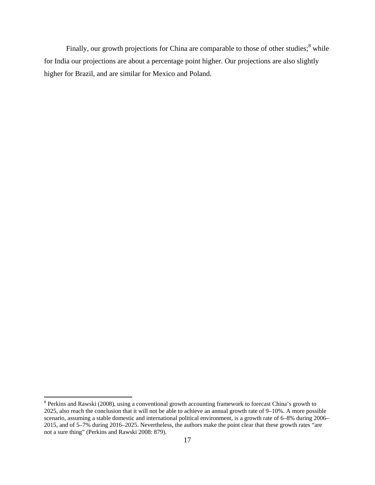Finally, our growth projections for China are comparable to those of other studies;<sup>8</sup> while for India our projections are about a percentage point higher. Our projections are also slightly higher for Brazil, and are similar for Mexico and Poland.

<sup>&</sup>lt;sup>8</sup> Perkins and Rawski (2008), using a conventional growth accounting framework to forecast China's growth to 2025, also reach the conclusion that it will not be able to achieve an annual growth rate of 9–10%. A more possible scenario, assuming a stable domestic and international political environment, is a growth rate of 6–8% during 2006– 2015, and of 5–7% during 2016–2025. Nevertheless, the authors make the point clear that these growth rates "are not a sure thing" (Perkins and Rawski 2008: 879).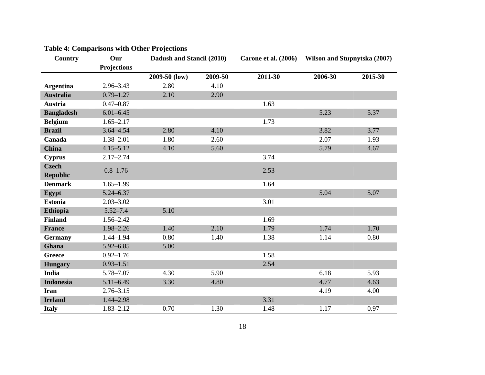| <b>Country</b>    | Our                | Dadush and Stancil (2010) |         | Carone et al. (2006) | Wilson and Stupnytska (2007) |         |
|-------------------|--------------------|---------------------------|---------|----------------------|------------------------------|---------|
|                   | <b>Projections</b> |                           |         |                      |                              |         |
|                   |                    | 2009-50 (low)             | 2009-50 | 2011-30              | 2006-30                      | 2015-30 |
| <b>Argentina</b>  | $2.96 - 3.43$      | 2.80                      | 4.10    |                      |                              |         |
| <b>Australia</b>  | $0.79 - 1.27$      | 2.10                      | 2.90    |                      |                              |         |
| <b>Austria</b>    | $0.47 - 0.87$      |                           |         | 1.63                 |                              |         |
| <b>Bangladesh</b> | $6.01 - 6.45$      |                           |         |                      | 5.23                         | 5.37    |
| <b>Belgium</b>    | $1.65 - 2.17$      |                           |         | 1.73                 |                              |         |
| <b>Brazil</b>     | $3.64 - 4.54$      | 2.80                      | 4.10    |                      | 3.82                         | 3.77    |
| Canada            | 1.38-2.01          | 1.80                      | 2.60    |                      | 2.07                         | 1.93    |
| <b>China</b>      | $4.15 - 5.12$      | 4.10                      | 5.60    |                      | 5.79                         | 4.67    |
| <b>Cyprus</b>     | $2.17 - 2.74$      |                           |         | 3.74                 |                              |         |
| <b>Czech</b>      | $0.8 - 1.76$       |                           |         | 2.53                 |                              |         |
| <b>Republic</b>   |                    |                           |         |                      |                              |         |
| <b>Denmark</b>    | $1.65 - 1.99$      |                           |         | 1.64                 |                              |         |
| Egypt             | $5.24 - 6.37$      |                           |         |                      | 5.04                         | 5.07    |
| <b>Estonia</b>    | $2.03 - 3.02$      |                           |         | 3.01                 |                              |         |
| <b>Ethiopia</b>   | $5.52 - 7.4$       | 5.10                      |         |                      |                              |         |
| <b>Finland</b>    | $1.56 - 2.42$      |                           |         | 1.69                 |                              |         |
| <b>France</b>     | 1.98-2.26          | 1.40                      | 2.10    | 1.79                 | 1.74                         | 1.70    |
| <b>Germany</b>    | $1.44 - 1.94$      | 0.80                      | 1.40    | 1.38                 | 1.14                         | 0.80    |
| Ghana             | $5.92 - 6.85$      | 5.00                      |         |                      |                              |         |
| <b>Greece</b>     | $0.92 - 1.76$      |                           |         | 1.58                 |                              |         |
| <b>Hungary</b>    | $0.93 - 1.51$      |                           |         | 2.54                 |                              |         |
| <b>India</b>      | 5.78-7.07          | 4.30                      | 5.90    |                      | 6.18                         | 5.93    |
| <b>Indonesia</b>  | $5.11 - 6.49$      | 3.30                      | 4.80    |                      | 4.77                         | 4.63    |
| <b>Iran</b>       | $2.76 - 3.15$      |                           |         |                      | 4.19                         | 4.00    |
| <b>Ireland</b>    | 1.44-2.98          |                           |         | 3.31                 |                              |         |
| <b>Italy</b>      | $1.83 - 2.12$      | 0.70                      | 1.30    | 1.48                 | 1.17                         | 0.97    |

# **Table 4: Comparisons with Other Projections**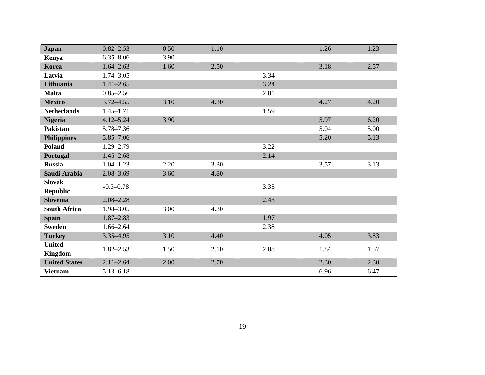| <b>Japan</b>         | $0.82 - 2.53$ | 0.50 | 1.10 |      | 1.26 | 1.23 |
|----------------------|---------------|------|------|------|------|------|
|                      | $6.35 - 8.06$ | 3.90 |      |      |      |      |
| Kenya                |               |      |      |      |      |      |
| Korea                | $1.64 - 2.63$ | 1.60 | 2.50 |      | 3.18 | 2.57 |
| Latvia               | $1.74 - 3.05$ |      |      | 3.34 |      |      |
| Lithuania            | $1.41 - 2.65$ |      |      | 3.24 |      |      |
| <b>Malta</b>         | $0.85 - 2.56$ |      |      | 2.81 |      |      |
| <b>Mexico</b>        | $3.72 - 4.55$ | 3.10 | 4.30 |      | 4.27 | 4.20 |
| <b>Netherlands</b>   | $1.45 - 1.71$ |      |      | 1.59 |      |      |
| <b>Nigeria</b>       | $4.12 - 5.24$ | 3.90 |      |      | 5.97 | 6.20 |
| <b>Pakistan</b>      | 5.78-7.36     |      |      |      | 5.04 | 5.00 |
| <b>Philippines</b>   | 5.85-7.06     |      |      |      | 5.20 | 5.13 |
| <b>Poland</b>        | $1.29 - 2.79$ |      |      | 3.22 |      |      |
| Portugal             | $1.45 - 2.68$ |      |      | 2.14 |      |      |
| <b>Russia</b>        | $1.04 - 1.23$ | 2.20 | 3.30 |      | 3.57 | 3.13 |
| Saudi Arabia         | $2.08 - 3.69$ | 3.60 | 4.80 |      |      |      |
| <b>Slovak</b>        | $-0.3 - 0.78$ |      |      | 3.35 |      |      |
| <b>Republic</b>      |               |      |      |      |      |      |
| <b>Slovenia</b>      | $2.08 - 2.28$ |      |      | 2.43 |      |      |
| <b>South Africa</b>  | 1.98-3.05     | 3.00 | 4.30 |      |      |      |
| <b>Spain</b>         | $1.87 - 2.83$ |      |      | 1.97 |      |      |
| <b>Sweden</b>        | $1.66 - 2.64$ |      |      | 2.38 |      |      |
| <b>Turkey</b>        | $3.35 - 4.95$ | 3.10 | 4.40 |      | 4.05 | 3.83 |
| <b>United</b>        |               |      |      |      | 1.84 |      |
| <b>Kingdom</b>       | $1.82 - 2.53$ | 1.50 | 2.10 | 2.08 |      | 1.57 |
| <b>United States</b> | $2.11 - 2.64$ | 2.00 | 2.70 |      | 2.30 | 2.30 |
| <b>Vietnam</b>       | $5.13 - 6.18$ |      |      |      | 6.96 | 6.47 |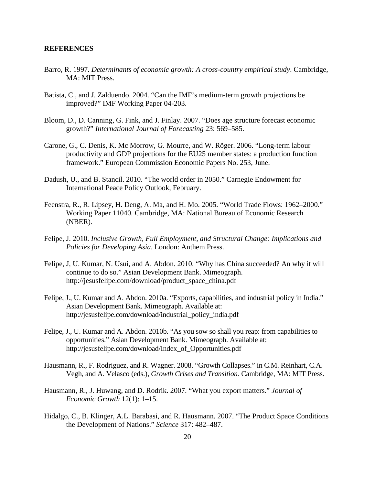### **REFERENCES**

- Barro, R. 1997. *Determinants of economic growth: A cross-country empirical study*. Cambridge, MA: MIT Press.
- Batista, C., and J. Zalduendo. 2004. "Can the IMF's medium-term growth projections be improved?" IMF Working Paper 04-203.
- Bloom, D., D. Canning, G. Fink, and J. Finlay. 2007. "Does age structure forecast economic growth?" *International Journal of Forecasting* 23: 569–585.
- Carone, G., C. Denis, K. Mc Morrow, G. Mourre, and W. Röger. 2006. "Long-term labour productivity and GDP projections for the EU25 member states: a production function framework." European Commission Economic Papers No. 253, June.
- Dadush, U., and B. Stancil. 2010. "The world order in 2050." Carnegie Endowment for International Peace Policy Outlook, February.
- Feenstra, R., R. Lipsey, H. Deng, A. Ma, and H. Mo. 2005. "World Trade Flows: 1962–2000." Working Paper 11040. Cambridge, MA: National Bureau of Economic Research (NBER).
- Felipe, J. 2010. *Inclusive Growth, Full Employment, and Structural Change: Implications and Policies for Developing Asia*. London: Anthem Press.
- Felipe, J, U. Kumar, N. Usui, and A. Abdon. 2010. "Why has China succeeded? An why it will continue to do so." Asian Development Bank. Mimeograph. http://jesusfelipe.com/download/product\_space\_china.pdf
- Felipe, J., U. Kumar and A. Abdon. 2010a. "Exports, capabilities, and industrial policy in India." Asian Development Bank. Mimeograph. Available at: http://jesusfelipe.com/download/industrial\_policy\_india.pdf
- Felipe, J., U. Kumar and A. Abdon. 2010b. "As you sow so shall you reap: from capabilities to opportunities." Asian Development Bank. Mimeograph. Available at: http://jesusfelipe.com/download/Index\_of\_Opportunities.pdf
- Hausmann, R., F. Rodriguez, and R. Wagner. 2008. "Growth Collapses." in C.M. Reinhart, C.A. Vegh, and A. Velasco (eds.), *Growth Crises and Transition.* Cambridge, MA: MIT Press.
- Hausmann, R., J. Huwang, and D. Rodrik. 2007. "What you export matters." *Journal of Economic Growth* 12(1): 1–15.
- Hidalgo, C., B. Klinger, A.L. Barabasi, and R. Hausmann. 2007. "The Product Space Conditions the Development of Nations." *Science* 317: 482–487.